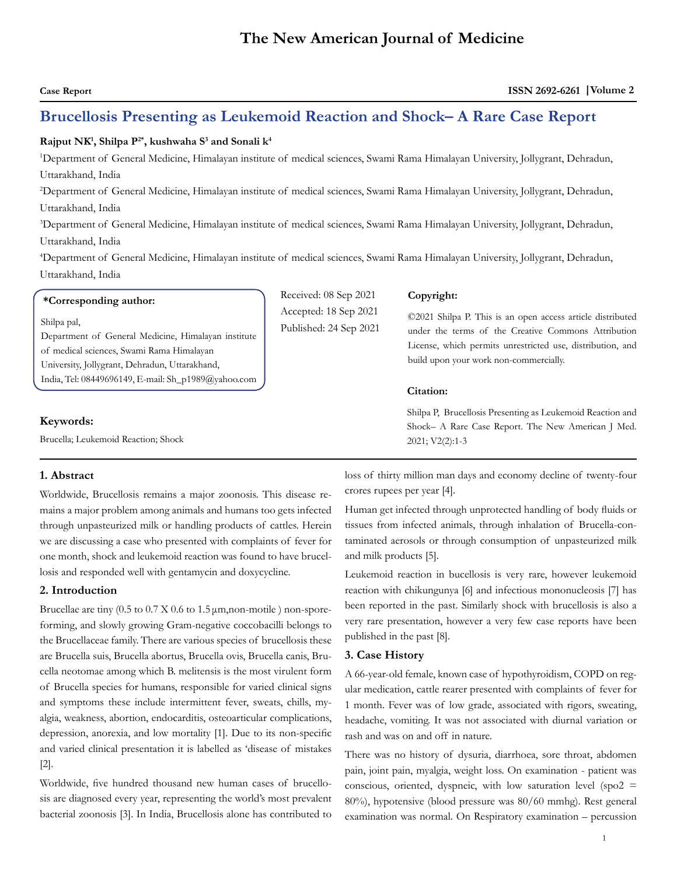# **Brucellosis Presenting as Leukemoid Reaction and Shock– A Rare Case Report**

# $\mathbf{R}$ ajput  $\mathbf{N}\mathbf{K}^{\!\!1}, \mathbf{Shilpa}\ \mathbf{P}^{2*}, \mathbf{kushwaha}\ \mathbf{S}^3$  and  $\mathbf{Sonali}\ \mathbf{k}^4$

1 Department of General Medicine, Himalayan institute of medical sciences, Swami Rama Himalayan University, Jollygrant, Dehradun, Uttarakhand, India

2 Department of General Medicine, Himalayan institute of medical sciences, Swami Rama Himalayan University, Jollygrant, Dehradun, Uttarakhand, India

3 Department of General Medicine, Himalayan institute of medical sciences, Swami Rama Himalayan University, Jollygrant, Dehradun, Uttarakhand, India

4 Department of General Medicine, Himalayan institute of medical sciences, Swami Rama Himalayan University, Jollygrant, Dehradun, Uttarakhand, India

| *Corresponding author:                                                                                                                                                                                                   | Received: 08 Sep 2021                           | Copyright:                                                                                                                                                                                                                             |  |
|--------------------------------------------------------------------------------------------------------------------------------------------------------------------------------------------------------------------------|-------------------------------------------------|----------------------------------------------------------------------------------------------------------------------------------------------------------------------------------------------------------------------------------------|--|
| Shilpa pal,<br>Department of General Medicine, Himalayan institute<br>of medical sciences, Swami Rama Himalayan<br>University, Jollygrant, Dehradun, Uttarakhand,<br>India, Tel: 08449696149, E-mail: Sh_p1989@yahoo.com | Accepted: 18 Sep 2021<br>Published: 24 Sep 2021 | ©2021 Shilpa P. This is an open access article distributed<br>under the terms of the Creative Commons Attribution<br>License, which permits unrestricted use, distribution, and<br>build upon your work non-commercially.<br>Citation: |  |
| Keywords:<br>Brucella: Leukemoid Reaction: Shock                                                                                                                                                                         |                                                 | Shilpa P, Brucellosis Presenting as Leukemoid Reaction and<br>Shock- A Rare Case Report. The New American J Med.<br>$2021$ ; $V2(2)$ :1-3                                                                                              |  |

## **1. Abstract**

Worldwide, Brucellosis remains a major zoonosis. This disease remains a major problem among animals and humans too gets infected through unpasteurized milk or handling products of cattles. Herein we are discussing a case who presented with complaints of fever for one month, shock and leukemoid reaction was found to have brucellosis and responded well with gentamycin and doxycycline.

# **2. Introduction**

Brucellae are tiny  $(0.5 \text{ to } 0.7 \text{ X } 0.6 \text{ to } 1.5 \mu \text{m}$ , non-motile ) non-sporeforming, and slowly growing Gram-negative coccobacilli belongs to the Brucellaceae family. There are various species of brucellosis these are Brucella suis, Brucella abortus, Brucella ovis, Brucella canis, Brucella neotomae among which B. melitensis is the most virulent form of Brucella species for humans, responsible for varied clinical signs and symptoms these include intermittent fever, sweats, chills, myalgia, weakness, abortion, endocarditis, osteoarticular complications, depression, anorexia, and low mortality [1]. Due to its non-specific and varied clinical presentation it is labelled as 'disease of mistakes [2].

Worldwide, five hundred thousand new human cases of brucellosis are diagnosed every year, representing the world's most prevalent bacterial zoonosis [3]. In India, Brucellosis alone has contributed to

loss of thirty million man days and economy decline of twenty-four crores rupees per year [4].

Human get infected through unprotected handling of body fluids or tissues from infected animals, through inhalation of Brucella-contaminated aerosols or through consumption of unpasteurized milk and milk products [5].

Leukemoid reaction in bucellosis is very rare, however leukemoid reaction with chikungunya [6] and infectious mononucleosis [7] has been reported in the past. Similarly shock with brucellosis is also a very rare presentation, however a very few case reports have been published in the past [8].

## **3. Case History**

A 66-year-old female, known case of hypothyroidism, COPD on regular medication, cattle rearer presented with complaints of fever for 1 month. Fever was of low grade, associated with rigors, sweating, headache, vomiting. It was not associated with diurnal variation or rash and was on and off in nature.

There was no history of dysuria, diarrhoea, sore throat, abdomen pain, joint pain, myalgia, weight loss. On examination - patient was conscious, oriented, dyspneic, with low saturation level (spo2 = 80%), hypotensive (blood pressure was 80/60 mmhg). Rest general examination was normal. On Respiratory examination – percussion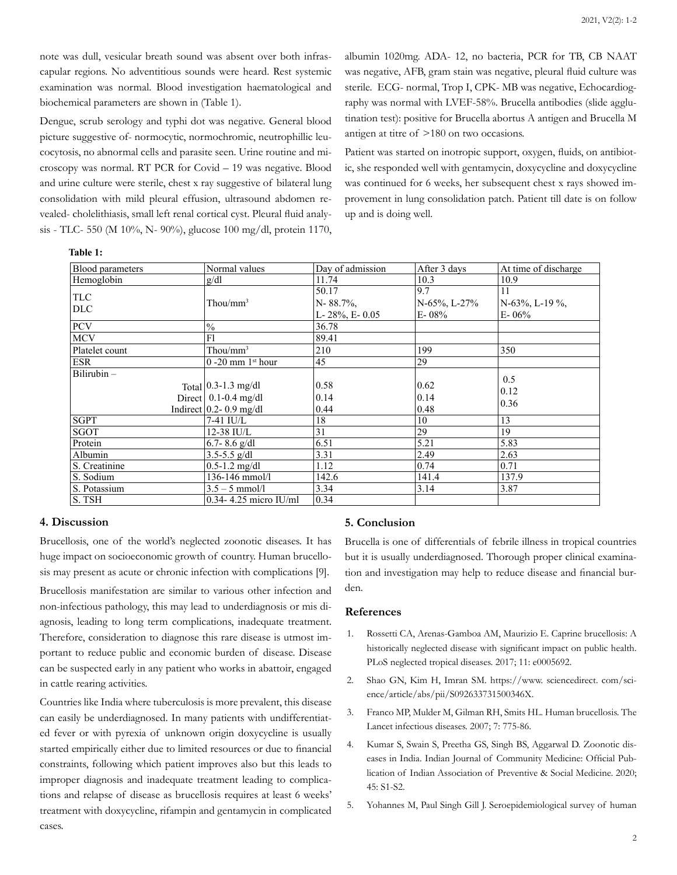note was dull, vesicular breath sound was absent over both infrascapular regions. No adventitious sounds were heard. Rest systemic examination was normal. Blood investigation haematological and biochemical parameters are shown in (Table 1).

Dengue, scrub serology and typhi dot was negative. General blood picture suggestive of- normocytic, normochromic, neutrophillic leucocytosis, no abnormal cells and parasite seen. Urine routine and microscopy was normal. RT PCR for Covid – 19 was negative. Blood and urine culture were sterile, chest x ray suggestive of bilateral lung consolidation with mild pleural effusion, ultrasound abdomen revealed- cholelithiasis, small left renal cortical cyst. Pleural fluid analysis - TLC- 550 (M 10%, N- 90%), glucose 100 mg/dl, protein 1170,

albumin 1020mg. ADA- 12, no bacteria, PCR for TB, CB NAAT was negative, AFB, gram stain was negative, pleural fluid culture was sterile. ECG- normal, Trop I, CPK- MB was negative, Echocardiography was normal with LVEF-58%. Brucella antibodies (slide agglutination test): positive for Brucella abortus A antigen and Brucella M antigen at titre of >180 on two occasions.

Patient was started on inotropic support, oxygen, fluids, on antibiotic, she responded well with gentamycin, doxycycline and doxycycline was continued for 6 weeks, her subsequent chest x rays showed improvement in lung consolidation patch. Patient till date is on follow up and is doing well.

**Table 1:**

| Blood parameters         | Normal values                                                                             | Day of admission                           | After 3 days                          | At time of discharge                   |
|--------------------------|-------------------------------------------------------------------------------------------|--------------------------------------------|---------------------------------------|----------------------------------------|
| Hemoglobin               | g/dl                                                                                      | 11.74                                      | 10.3                                  | 10.9                                   |
| <b>TLC</b><br><b>DLC</b> | Thou/ $mm^3$                                                                              | 50.17<br>N-88.7%,<br>L- $28\%$ , E- $0.05$ | 9.7<br>$N-65\%$ , L-27%<br>$E - 08\%$ | 11<br>$N-63\%$ , L-19 %,<br>$E - 06\%$ |
| <b>PCV</b>               | $\frac{0}{0}$                                                                             | 36.78                                      |                                       |                                        |
| <b>MCV</b>               | F1                                                                                        | 89.41                                      |                                       |                                        |
| Platelet count           | $Thou/mm^3$                                                                               | 210                                        | 199                                   | 350                                    |
| <b>ESR</b>               | $0 - 20$ mm $1st$ hour                                                                    | 45                                         | 29                                    |                                        |
| $Bilirubin -$            | Total $\vert$ 0.3-1.3 mg/dl<br>Direct $\vert$ 0.1-0.4 mg/dl<br>Indirect $0.2 - 0.9$ mg/dl | 0.58<br>0.14<br>0.44                       | 0.62<br>0.14<br>0.48                  | 0.5<br>0.12<br>0.36                    |
| <b>SGPT</b>              | 7-41 IU/L                                                                                 | 18                                         | 10                                    | 13                                     |
| <b>SGOT</b>              | 12-38 IU/L                                                                                | 31                                         | 29                                    | 19                                     |
| Protein                  | 6.7-8.6 $g/dl$                                                                            | 6.51                                       | 5.21                                  | 5.83                                   |
| Albumin                  | $3.5 - 5.5$ g/dl                                                                          | 3.31                                       | 2.49                                  | 2.63                                   |
| S. Creatinine            | $0.5 - 1.2$ mg/dl                                                                         | 1.12                                       | 0.74                                  | 0.71                                   |
| S. Sodium                | 136-146 mmol/l                                                                            | 142.6                                      | 141.4                                 | 137.9                                  |
| S. Potassium             | $3.5 - 5$ mmol/l                                                                          | 3.34                                       | 3.14                                  | 3.87                                   |
| S. TSH                   | $0.34 - 4.25$ micro IU/ml                                                                 | 0.34                                       |                                       |                                        |

#### **4. Discussion**

Brucellosis, one of the world's neglected zoonotic diseases. It has huge impact on socioeconomic growth of country. Human brucellosis may present as acute or chronic infection with complications [9].

Brucellosis manifestation are similar to various other infection and non-infectious pathology, this may lead to underdiagnosis or mis diagnosis, leading to long term complications, inadequate treatment. Therefore, consideration to diagnose this rare disease is utmost important to reduce public and economic burden of disease. Disease can be suspected early in any patient who works in abattoir, engaged in cattle rearing activities.

Countries like India where tuberculosis is more prevalent, this disease can easily be underdiagnosed. In many patients with undifferentiated fever or with pyrexia of unknown origin doxycycline is usually started empirically either due to limited resources or due to financial constraints, following which patient improves also but this leads to improper diagnosis and inadequate treatment leading to complications and relapse of disease as brucellosis requires at least 6 weeks' treatment with doxycycline, rifampin and gentamycin in complicated cases.

# **5. Conclusion**

Brucella is one of differentials of febrile illness in tropical countries but it is usually underdiagnosed. Thorough proper clinical examination and investigation may help to reduce disease and financial burden.

# **References**

- 1. [Rossetti CA, Arenas-Gamboa AM, Maurizio E. Caprine brucellosis: A](https://pubmed.ncbi.nlm.nih.gov/28817647/)  [historically neglected disease with significant impact on public health.](https://pubmed.ncbi.nlm.nih.gov/28817647/) [PLoS neglected tropical diseases. 2017; 11: e0005692.](https://pubmed.ncbi.nlm.nih.gov/28817647/)
- 2. [Shao GN, Kim H, Imran SM. https://www. sciencedirect. com/sci](C:\Users\Canopus\AppData\Local\Temp\Rar$DIa7296.49070\Shao GN, Kim H, Imran SM. https:\www. sciencedirect. com\science\article\abs\pii\S092633731500346X)[ence/article/abs/pii/S092633731500346X.](C:\Users\Canopus\AppData\Local\Temp\Rar$DIa7296.49070\Shao GN, Kim H, Imran SM. https:\www. sciencedirect. com\science\article\abs\pii\S092633731500346X)
- 3. [Franco MP, Mulder M, Gilman RH, Smits HL. Human brucellosis. The](https://pubmed.ncbi.nlm.nih.gov/18045560/)  [Lancet infectious diseases. 2007; 7: 775-86.](https://pubmed.ncbi.nlm.nih.gov/18045560/)
- 4. [Kumar S, Swain S, Preetha GS, Singh BS, Aggarwal D. Zoonotic dis](https://www.ncbi.nlm.nih.gov/pmc/articles/PMC7232975/)[eases in India. Indian Journal of Community Medicine: Official Pub](https://www.ncbi.nlm.nih.gov/pmc/articles/PMC7232975/)[lication of Indian Association of Preventive & Social Medicine. 2020;](https://www.ncbi.nlm.nih.gov/pmc/articles/PMC7232975/) [45: S1-S2.](https://www.ncbi.nlm.nih.gov/pmc/articles/PMC7232975/)
- 5. [Yohannes M, Paul Singh Gill J. Seroepidemiological survey of human](https://www.ncbi.nlm.nih.gov/pmc/articles/PMC3185330/)